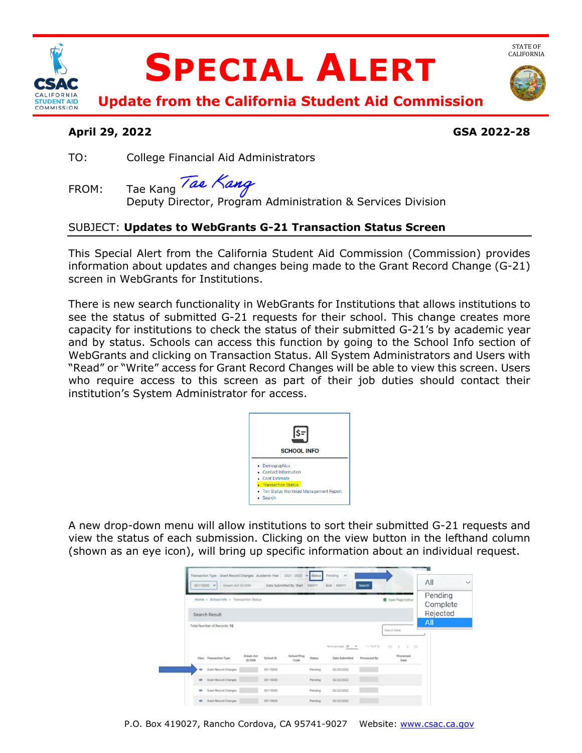

# **SPECIAL ALERT**



STATE OF<br>CALIFORNIA

**Update from the California Student Aid Commission** 

## **April 29, 2022 GSA 2022-28**

TO: College Financial Aid Administrators

FROM: Tae Kang

Deputy Director, Program Administration & Services Division

# SUBJECT: **Updates to WebGrants G-21 Transaction Status Screen**

 This Special Alert from the California Student Aid Commission (Commission) provides information about updates and changes being made to the Grant Record Change (G-21) screen in WebGrants for Institutions.

screen in WebGrants for Institutions.<br>There is new search functionality in WebGrants for Institutions that allows institutions to capacity for institutions to check the status of their submitted G-21's by academic year WebGrants and clicking on Transaction Status. All System Administrators and Users with see the status of submitted G-21 requests for their school. This change creates more and by status. Schools can access this function by going to the School Info section of "Read" or "Write" access for Grant Record Changes will be able to view this screen. Users who require access to this screen as part of their job duties should contact their institution's System Administrator for access.



 view the status of each submission. Clicking on the view button in the lefthand column A new drop-down menu will allow institutions to sort their submitted G-21 requests and (shown as an eye icon), will bring up specific information about an individual request.

| 00115000 $\vee$<br>Dream Act (D/SSN                      |               |                  | Data Submitted By: Start MMYY |         | End MMrY                              | Search              |                                | All                             | $\checkmark$ |
|----------------------------------------------------------|---------------|------------------|-------------------------------|---------|---------------------------------------|---------------------|--------------------------------|---------------------------------|--------------|
| Home > School info > Transaction Status<br>Search Result |               |                  |                               |         |                                       |                     | Coven Page Instruct            | Pending<br>Complete<br>Rejected |              |
| Total Number of Records: 12                              |               |                  |                               |         |                                       |                     |                                | All                             |              |
|                                                          | Dream Act     |                  | <b>School Prog</b>            |         | twite per page: 20 = W = 1 + 12 of 12 |                     | $10 - 0 = 5 - 31$<br>Processed |                                 |              |
| View Transaction Type                                    | <b>ID/SSN</b> | <b>School ID</b> | Code                          | Status  | Date Submitted                        | <b>Processed By</b> | Date                           |                                 |              |
| @ Grant Record Changes                                   |               | 00115000         |                               | Pending | 02/23/2022                            |                     |                                |                                 |              |
| @ Grant Record Changes                                   |               | 00115000         |                               | Pending | 02/22/2022                            |                     |                                |                                 |              |
| Cristi Record Changes                                    |               | 00115000         |                               | Pending | 02/22/2022                            |                     |                                |                                 |              |